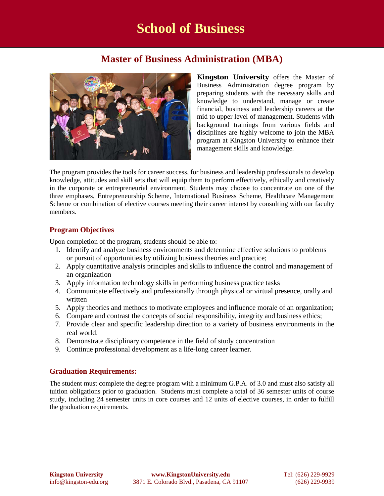# **Master of Business Administration (MBA)**



*Kingston University* offers the Master of Business Administration degree program by preparing students with the necessary skills and knowledge to understand, manage or create financial, business and leadership careers at the mid to upper level of management. Students with background trainings from various fields and disciplines are highly welcome to join the MBA program at Kingston University to enhance their management skills and knowledge.

The program provides the tools for career success, for business and leadership professionals to develop knowledge, attitudes and skill sets that will equip them to perform effectively, ethically and creatively in the corporate or entrepreneurial environment. Students may choose to concentrate on one of the three emphases, Entrepreneurship Scheme, International Business Scheme, Healthcare Management Scheme or combination of elective courses meeting their career interest by consulting with our faculty members.

# **Program Objectives**

Upon completion of the program, students should be able to:

- 1. Identify and analyze business environments and determine effective solutions to problems or pursuit of opportunities by utilizing business theories and practice;
- 2. Apply quantitative analysis principles and skills to influence the control and management of an organization
- 3. Apply information technology skills in performing business practice tasks
- 4. Communicate effectively and professionally through physical or virtual presence, orally and written
- 5. Apply theories and methods to motivate employees and influence morale of an organization;
- 6. Compare and contrast the concepts of social responsibility, integrity and business ethics;
- 7. Provide clear and specific leadership direction to a variety of business environments in the real world.
- 8. Demonstrate disciplinary competence in the field of study concentration
- 9. Continue professional development as a life-long career learner.

# **Graduation Requirements:**

The student must complete the degree program with a minimum G.P.A. of 3.0 and must also satisfy all tuition obligations prior to graduation. Students must complete a total of 36 semester units of course study, including 24 semester units in core courses and 12 units of elective courses, in order to fulfill the graduation requirements.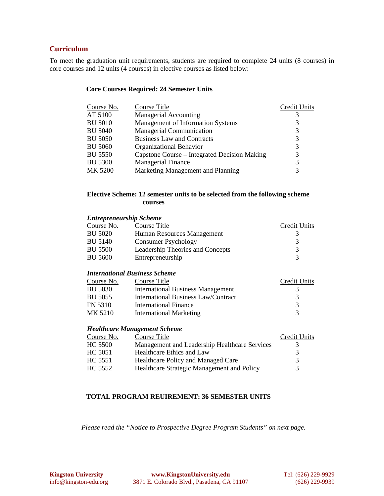### **Curriculum**

To meet the graduation unit requirements, students are required to complete 24 units (8 courses) in core courses and 12 units (4 courses) in elective courses as listed below:

#### **Core Courses Required: 24 Semester Units**

| Course No.     | Course Title                                 | Credit Units |
|----------------|----------------------------------------------|--------------|
| AT 5100        | <b>Managerial Accounting</b>                 |              |
| <b>BU 5010</b> | Management of Information Systems            | 3            |
| <b>BU 5040</b> | <b>Managerial Communication</b>              | 3            |
| <b>BU 5050</b> | <b>Business Law and Contracts</b>            | 3            |
| <b>BU 5060</b> | Organizational Behavior                      | 3            |
| <b>BU 5550</b> | Capstone Course – Integrated Decision Making | 3            |
| <b>BU 5300</b> | <b>Managerial Finance</b>                    | 3            |
| MK 5200        | Marketing Management and Planning            | 3            |
|                |                                              |              |

### **Elective Scheme: 12 semester units to be selected from the following scheme courses**

#### *Entrepreneurship Scheme*

| Course No.     | Course Title                     | Credit Units |
|----------------|----------------------------------|--------------|
| BU 5020        | Human Resources Management       |              |
| BU 5140        | <b>Consumer Psychology</b>       |              |
| BU 5500        | Leadership Theories and Concepts |              |
| <b>BU 5600</b> | Entrepreneurship                 |              |

### *International Business Scheme*

| Course No.     | Course Title                             | Credit Units  |
|----------------|------------------------------------------|---------------|
| <b>BU 5030</b> | <b>International Business Management</b> |               |
| BU 5055        | International Business Law/Contract      | 3             |
| FN 5310        | International Finance                    | $\mathcal{R}$ |
| MK 5210        | <b>International Marketing</b>           |               |

#### *Healthcare Management Scheme*

| Course No. | Course Title                                  | Credit Units |
|------------|-----------------------------------------------|--------------|
| HC 5500    | Management and Leadership Healthcare Services |              |
| HC 5051    | Healthcare Ethics and Law                     | 3            |
| HC 5551    | Healthcare Policy and Managed Care            | 3            |
| HC 5552    | Healthcare Strategic Management and Policy    | 3            |

## **TOTAL PROGRAM REUIREMENT: 36 SEMESTER UNITS**

*Please read the "Notice to Prospective Degree Program Students" on next page.*